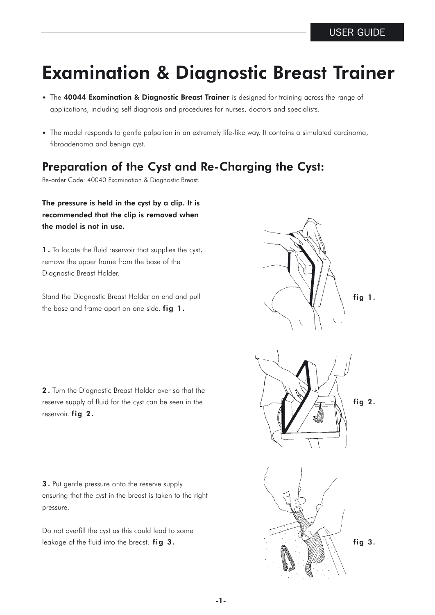## Examination & Diagnostic Breast Trainer

- The 40044 Examination & Diagnostic Breast Trainer is designed for training across the range of applications, including self diagnosis and procedures for nurses, doctors and specialists.
- The model responds to gentle palpation in an extremely life-like way. It contains a simulated carcinoma, .fibroadenoma and benign cyst.

## Preparation of the Cyst and Re-Charging the Cyst:

Re-order Code: 40040 Examination & Diagnostic Breast.

The pressure is held in the cyst by a clip. It is recommended that the clip is removed when the model is not in use.

1 . To locate the fluid reservoir that supplies the cyst, remove the upper frame from the base of the Diagnostic Breast Holder.

Stand the Diagnostic Breast Holder on end and pull the base and frame apart on one side. fig 1.

2. Turn the Diagnostic Breast Holder over so that the reserve supply of fluid for the cyst can be seen in the reservoir. fig 2.

3 . Put gentle pressure onto the reserve supply ensuring that the cyst in the breast is taken to the right pressure.

Do not overfill the cyst as this could lead to some leakage of the fluid into the breast. fig 3.